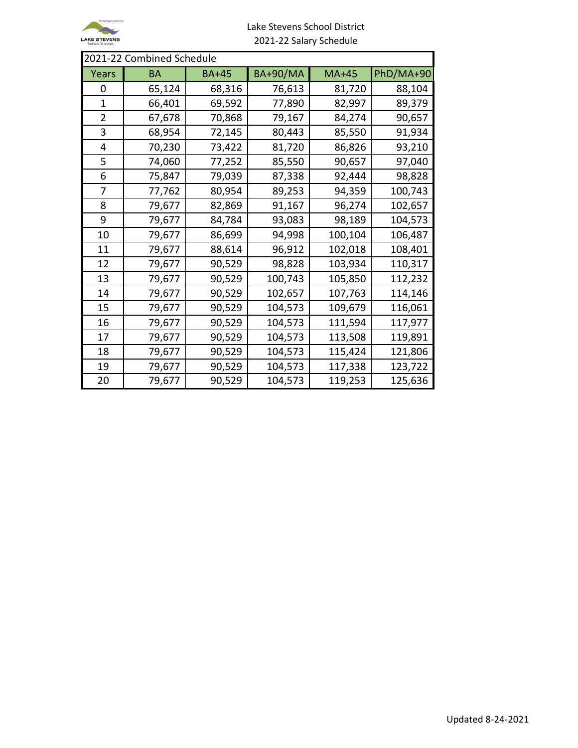

## Lake Stevens School District 2021-22 Salary Schedule

| 2021-22 Combined Schedule |        |              |                 |         |           |  |  |
|---------------------------|--------|--------------|-----------------|---------|-----------|--|--|
| Years                     | BA     | <b>BA+45</b> | <b>BA+90/MA</b> | $MA+45$ | PhD/MA+90 |  |  |
| 0                         | 65,124 | 68,316       | 76,613          | 81,720  | 88,104    |  |  |
| 1                         | 66,401 | 69,592       | 77,890          | 82,997  | 89,379    |  |  |
| $\overline{2}$            | 67,678 | 70,868       | 79,167          | 84,274  | 90,657    |  |  |
| 3                         | 68,954 | 72,145       | 80,443          | 85,550  | 91,934    |  |  |
| 4                         | 70,230 | 73,422       | 81,720          | 86,826  | 93,210    |  |  |
| 5                         | 74,060 | 77,252       | 85,550          | 90,657  | 97,040    |  |  |
| 6                         | 75,847 | 79,039       | 87,338          | 92,444  | 98,828    |  |  |
| 7                         | 77,762 | 80,954       | 89,253          | 94,359  | 100,743   |  |  |
| 8                         | 79,677 | 82,869       | 91,167          | 96,274  | 102,657   |  |  |
| 9                         | 79,677 | 84,784       | 93,083          | 98,189  | 104,573   |  |  |
| 10                        | 79,677 | 86,699       | 94,998          | 100,104 | 106,487   |  |  |
| 11                        | 79,677 | 88,614       | 96,912          | 102,018 | 108,401   |  |  |
| 12                        | 79,677 | 90,529       | 98,828          | 103,934 | 110,317   |  |  |
| 13                        | 79,677 | 90,529       | 100,743         | 105,850 | 112,232   |  |  |
| 14                        | 79,677 | 90,529       | 102,657         | 107,763 | 114,146   |  |  |
| 15                        | 79,677 | 90,529       | 104,573         | 109,679 | 116,061   |  |  |
| 16                        | 79,677 | 90,529       | 104,573         | 111,594 | 117,977   |  |  |
| 17                        | 79,677 | 90,529       | 104,573         | 113,508 | 119,891   |  |  |
| 18                        | 79,677 | 90,529       | 104,573         | 115,424 | 121,806   |  |  |
| 19                        | 79,677 | 90,529       | 104,573         | 117,338 | 123,722   |  |  |
| 20                        | 79,677 | 90,529       | 104,573         | 119,253 | 125,636   |  |  |